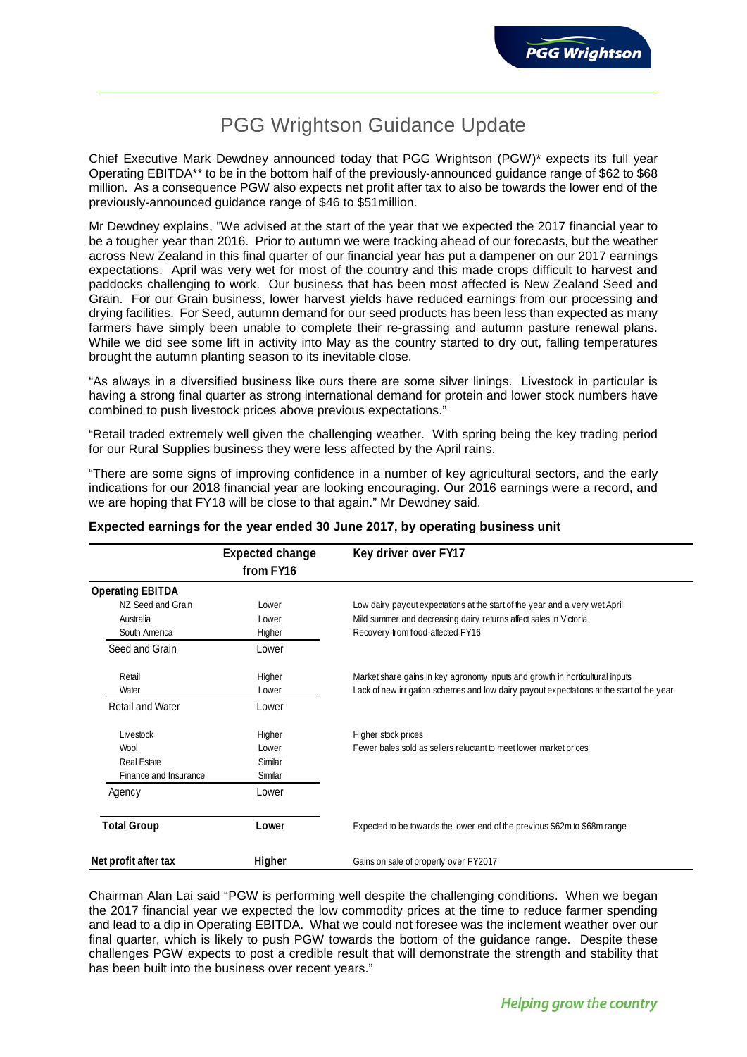# PGG Wrightson Guidance Update

Chief Executive Mark Dewdney announced today that PGG Wrightson (PGW)\* expects its full year Operating EBITDA\*\* to be in the bottom half of the previously-announced guidance range of \$62 to \$68 million. As a consequence PGW also expects net profit after tax to also be towards the lower end of the previously-announced guidance range of \$46 to \$51million.

Mr Dewdney explains, "We advised at the start of the year that we expected the 2017 financial year to be a tougher year than 2016. Prior to autumn we were tracking ahead of our forecasts, but the weather across New Zealand in this final quarter of our financial year has put a dampener on our 2017 earnings expectations. April was very wet for most of the country and this made crops difficult to harvest and paddocks challenging to work. Our business that has been most affected is New Zealand Seed and Grain. For our Grain business, lower harvest yields have reduced earnings from our processing and drying facilities. For Seed, autumn demand for our seed products has been less than expected as many farmers have simply been unable to complete their re-grassing and autumn pasture renewal plans. While we did see some lift in activity into May as the country started to dry out, falling temperatures brought the autumn planting season to its inevitable close.

"As always in a diversified business like ours there are some silver linings. Livestock in particular is having a strong final quarter as strong international demand for protein and lower stock numbers have combined to push livestock prices above previous expectations."

"Retail traded extremely well given the challenging weather. With spring being the key trading period for our Rural Supplies business they were less affected by the April rains.

"There are some signs of improving confidence in a number of key agricultural sectors, and the early indications for our 2018 financial year are looking encouraging. Our 2016 earnings were a record, and we are hoping that FY18 will be close to that again." Mr Dewdney said.

|                         | <b>Expected change</b><br>from FY16 | Key driver over FY17                                                                      |
|-------------------------|-------------------------------------|-------------------------------------------------------------------------------------------|
| <b>Operating EBITDA</b> |                                     |                                                                                           |
| NZ Seed and Grain       | Lower                               | Low dairy payout expectations at the start of the year and a very wet April               |
| Australia               | Lower                               | Mild summer and decreasing dairy returns affect sales in Victoria                         |
| South America           | Higher                              | Recovery from flood-affected FY16                                                         |
| Seed and Grain          | Lower                               |                                                                                           |
| Retail                  | Higher                              | Market share gains in key agronomy inputs and growth in horticultural inputs              |
| Water                   | Lower                               | Lack of new irrigation schemes and low dairy payout expectations at the start of the year |
| <b>Retail and Water</b> | Lower                               |                                                                                           |
| Livestock               | Higher                              | Higher stock prices                                                                       |
| Wool                    | Lower                               | Fewer bales sold as sellers reluctant to meet lower market prices                         |
| <b>Real Estate</b>      | Similar                             |                                                                                           |
| Finance and Insurance   | Similar                             |                                                                                           |
| Agency                  | Lower                               |                                                                                           |
| <b>Total Group</b>      | Lower                               | Expected to be towards the lower end of the previous \$62m to \$68m range                 |
| Net profit after tax    | Higher                              | Gains on sale of property over FY2017                                                     |

## **Expected earnings for the year ended 30 June 2017, by operating business unit**

Chairman Alan Lai said "PGW is performing well despite the challenging conditions. When we began the 2017 financial year we expected the low commodity prices at the time to reduce farmer spending and lead to a dip in Operating EBITDA. What we could not foresee was the inclement weather over our final quarter, which is likely to push PGW towards the bottom of the guidance range. Despite these challenges PGW expects to post a credible result that will demonstrate the strength and stability that has been built into the business over recent years."